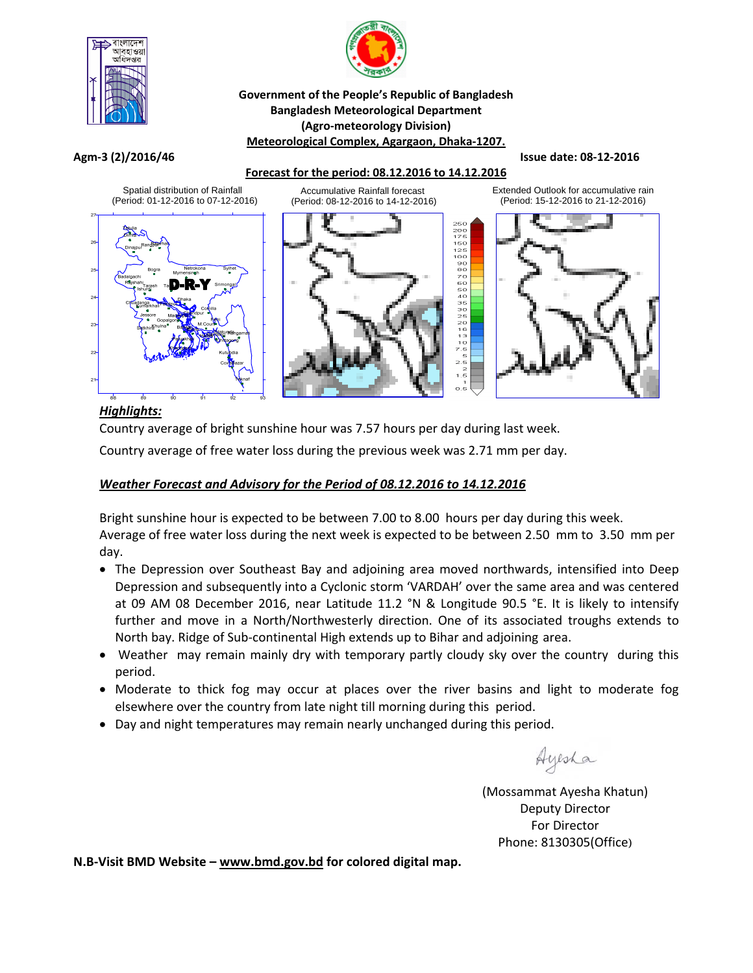



#### **Government of the People's Republic of Bangladesh Bangladesh Meteorological Department (Agro‐meteorology Division) Meteorological Complex, Agargaon, Dhaka‐1207.**

Agm-3 (2)/2016/46 Second Second Second Second Second Second Second Second Second Second Second Second Second Second Second Second Second Second Second Second Second Second Second Second Second Second Second Second Second S

# **Forecast for the period: 08.12.2016 to 14.12.2016**

Accumulative Rainfall forecast



 (Period: 08-12-2016 to 14-12-2016) 1 е  $100$ <br> $7.5$ <br> $5$ 

Extended Outlook for accumulative rain (Period: 15-12-2016 to 21-12-2016)



# *Highlights:*

Country average of bright sunshine hour was 7.57 hours per day during last week.

Country average of free water loss during the previous week was 2.71 mm per day.

# *Weather Forecast and Advisory for the Period of 08.12.2016 to 14.12.2016*

Bright sunshine hour is expected to be between 7.00 to 8.00 hours per day during this week. Average of free water loss during the next week is expected to be between 2.50 mm to 3.50 mm per day.

- The Depression over Southeast Bay and adjoining area moved northwards, intensified into Deep Depression and subsequently into a Cyclonic storm 'VARDAH' over the same area and was centered at 09 AM 08 December 2016, near Latitude 11.2 °N & Longitude 90.5 °E. It is likely to intensify further and move in a North/Northwesterly direction. One of its associated troughs extends to North bay. Ridge of Sub‐continental High extends up to Bihar and adjoining area.
- Weather may remain mainly dry with temporary partly cloudy sky over the country during this period.
- Moderate to thick fog may occur at places over the river basins and light to moderate fog elsewhere over the country from late night till morning during this period.
- Day and night temperatures may remain nearly unchanged during this period.

Ayesha

(Mossammat Ayesha Khatun) Deputy Director For Director Phone: 8130305(Office)

**N.B‐Visit BMD Website – www.bmd.gov.bd for colored digital map.**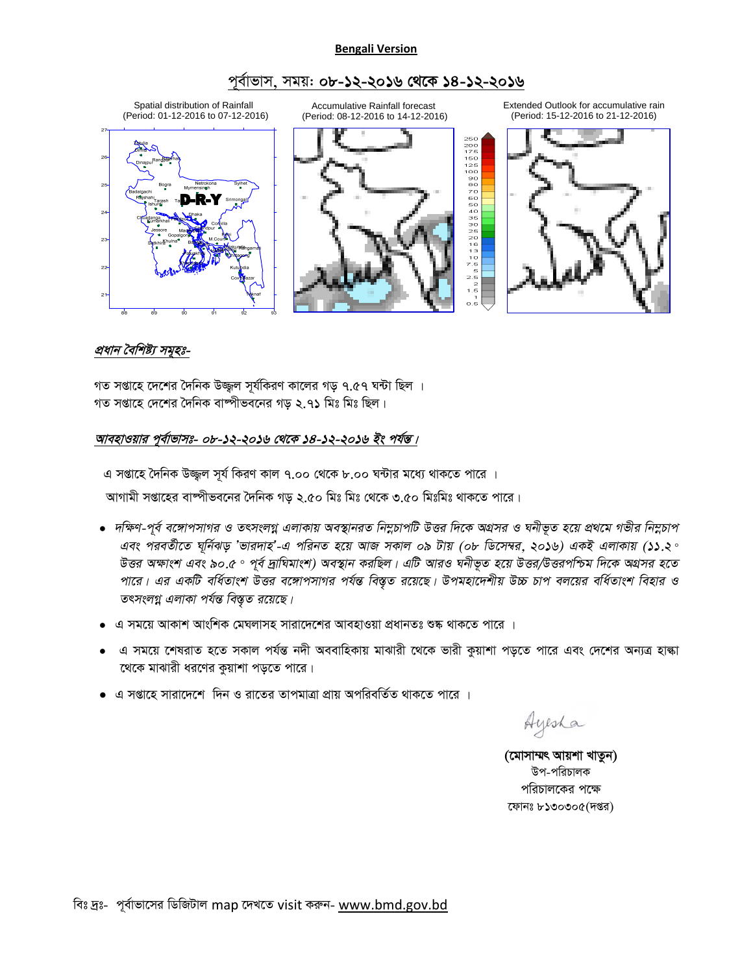#### **Bengali Version**

# পূর্বাভাস, সময়: ০**৮-১২-২০১৬ থেকে ১৪-১২-২০১৬**



Accumulative Rainfall forecast (Period: 08-12-2016 to 14-12-2016)



Extended Outlook for accumulative rain (Period: 15-12-2016 to 21-12-2016)



#### *প্রধান বৈশিষ্ট্য সমুহঃ-*

গত সপ্তাহে দেশের দৈনিক উজ্জল সূর্যকিরণ কালের গড় ৭.৫৭ ঘন্টা ছিল । গত সপ্তাহে দেশের দৈনিক বাষ্পীভবনের গড ২.৭**১** মিঃ মিঃ ছিল।

#### আবহাওয়ার পূর্বাভাসঃ- ০৮-**১২-২০১৬ থেকে ১৪-১২-২০১৬ ইং পর্যন্ত**।

এ সপ্তাহে দৈনিক উজ্জল সূর্য কিরণ কাল ৭.০০ থেকে ৮.০০ ঘন্টার মধ্যে থাকতে পারে ।

আগামী সপ্তাহের বাষ্পীভবনের দৈনিক গড় ২.৫০ মিঃ মিঃ থেকে ৩.৫০ মিঃমিঃ থাকতে পারে।

- $\bullet$  দক্ষিণ-পূর্ব বঙ্গোপসাগর ও তৎসংলগ্ন এলাকায় অবস্থানরত নিম্নচাপটি উত্তর দিকে অগ্রসর ও ঘনীভূত হয়ে প্রথমে গভীর নিম্নচাপ *Ges cieZ©x‡Z N~wb©So Õfvi`vnÕ-G cwibZ n‡q AvR mKvj 09 Uvq (08 wW‡m¤^i, 2016) GKB GjvKvq (11.2* **°** *উত্তর অক্ষাংশ এবং ৯০.৫ ° পূর্ব দ্রাঘিমাংশ) অবস্থান করছিল। এটি আরও ঘনীভূত হয়ে উত্তর/উত্তরপশ্চিম দিকে অগ্রসর হতে* পারে। এর একটি বর্ধিতাংশ উত্তর বঙ্গোপসাগর পর্যন্ত বিস্তৃত রয়েছে। উপমহাদেশীয় উচ্চ চাপ বলয়ের বর্ধিতাংশ বিহার ও তৎসংলগ্ন এলাকা পৰ্যন্ত বিস্তৃত রয়েছে।
- এ সময়ে আকাশ আংশিক মেঘলাসহ সারাদেশের আবহাওয়া প্রধানতঃ শুষ্ক থাকতে পারে ।
- এ সময়ে শেষরাত হতে সকাল পর্যন্ত নদী অববাহিকায় মাঝারী থেকে ভারী কুয়াশা পড়তে পারে এবং দেশের অন্যত্র হাঙ্কা থেকে মাঝারী ধরণের কুয়াশা পড়তে পারে।
- $\bullet$  এ সপ্তাহে সারাদেশে দিন ও রাতের তাপমাত্রা প্রায় অপরিবর্তিত থাকতে পারে ।

Ayesha

(মোসাম্মৎ আয়শা খাতুন) উপ-পরিচালক পরিচালকের পক্ষে ফোনঃ  $b$ ১৩০৩০ $c($ দপ্তর)